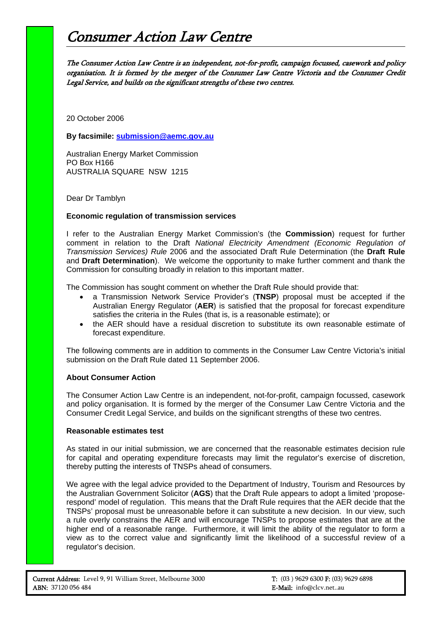## Consumer Action Law Centre

The Consumer Action Law Centre is an independent, not-for-profit, campaign focussed, casework and policy organisation. It is formed by the merger of the Consumer Law Centre Victoria and the Consumer Credit Legal Service, and builds on the significant strengths of these two centres.

20 October 2006

**By facsimile: [submission@aemc.gov.au](mailto:submission@aemc.gov.au)** 

Australian Energy Market Commission PO Box H166 AUSTRALIA SQUARE NSW 1215

Dear Dr Tamblyn

## **Economic regulation of transmission services**

I refer to the Australian Energy Market Commission's (the **Commission**) request for further comment in relation to the Draft *National Electricity Amendment (Economic Regulation of Transmission Services) Rule* 2006 and the associated Draft Rule Determination (the **Draft Rule** and **Draft Determination**). We welcome the opportunity to make further comment and thank the Commission for consulting broadly in relation to this important matter.

The Commission has sought comment on whether the Draft Rule should provide that:

- a Transmission Network Service Provider's (**TNSP**) proposal must be accepted if the Australian Energy Regulator (**AER**) is satisfied that the proposal for forecast expenditure satisfies the criteria in the Rules (that is, is a reasonable estimate); or
- the AER should have a residual discretion to substitute its own reasonable estimate of forecast expenditure.

The following comments are in addition to comments in the Consumer Law Centre Victoria's initial submission on the Draft Rule dated 11 September 2006.

## **About Consumer Action**

The Consumer Action Law Centre is an independent, not-for-profit, campaign focussed, casework and policy organisation. It is formed by the merger of the Consumer Law Centre Victoria and the Consumer Credit Legal Service, and builds on the significant strengths of these two centres.

## **Reasonable estimates test**

As stated in our initial submission, we are concerned that the reasonable estimates decision rule for capital and operating expenditure forecasts may limit the regulator's exercise of discretion, thereby putting the interests of TNSPs ahead of consumers.

We agree with the legal advice provided to the Department of Industry, Tourism and Resources by the Australian Government Solicitor (**AGS**) that the Draft Rule appears to adopt a limited 'proposerespond' model of regulation. This means that the Draft Rule requires that the AER decide that the TNSPs' proposal must be unreasonable before it can substitute a new decision. In our view, such a rule overly constrains the AER and will encourage TNSPs to propose estimates that are at the higher end of a reasonable range. Furthermore, it will limit the ability of the regulator to form a view as to the correct value and significantly limit the likelihood of a successful review of a regulator's decision.